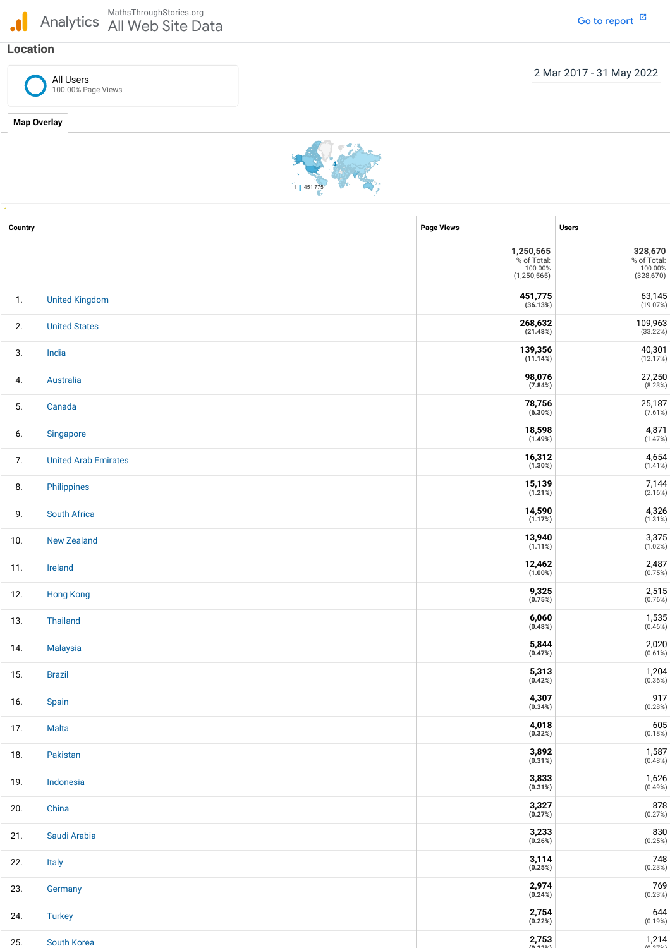## MathsThroughStories.org<br>Analytics All Web Site Da All Web Site Data

## **Location**

All Users 100.00% Page Views



| Country |                             | <b>Page Views</b>                                             | <b>Users</b>                                    |
|---------|-----------------------------|---------------------------------------------------------------|-------------------------------------------------|
|         |                             | 1,250,565<br>% of Total:<br>100.00%<br>(1, 250, 565)          | 328,670<br>% of Total:<br>100.00%<br>(328, 670) |
| 1.      | <b>United Kingdom</b>       | 451,775<br>(36.13%)                                           | $63,145$<br>(19.07%)                            |
| 2.      | <b>United States</b>        | $\mathbf{268{,}632} \ \mathbf{\left( \text{21.48\%} \right)}$ | 109,963                                         |
| 3.      | India                       | 139,356<br>(11.14%)                                           | 40,301<br>(12.17%)                              |
| 4.      | Australia                   | 98,076<br>(7.84%)                                             | 27,250<br>(8.23%)                               |
| 5.      | Canada                      | 78,756<br>(6.30%)                                             | $25,187$<br>(7.61%)                             |
| 6.      | Singapore                   | 18,598<br>(1.49%)                                             | $4,871$<br>(1.47%)                              |
| 7.      | <b>United Arab Emirates</b> | 16,312<br>$(1.30\%)$                                          | $4,654$<br>(1.41%)                              |
| 8.      | Philippines                 | 15,139<br>(1.21%)                                             | $7,144$<br>(2.16%)                              |
| 9.      | <b>South Africa</b>         | 14,590<br>(1.17%)                                             | $4,326$<br>(1.31%)                              |
| 10.     | <b>New Zealand</b>          | 13,940<br>(1.11%)                                             | $3,375$<br>(1.02%)                              |
| 11.     | Ireland                     | 12,462<br>(1.00%)                                             | 2,487<br>(0.75%)                                |
| 12.     | <b>Hong Kong</b>            | 9,325<br>(0.75%)                                              | 2,515<br>(0.76%)                                |
| 13.     | Thailand                    | 6,060<br>(0.48%)                                              | $1,535$<br>(0.46%)                              |
| 14.     | Malaysia                    | 5,844<br>(0.47%)                                              | 2,020<br>(0.61%)                                |
| 15.     | <b>Brazil</b>               | 5,313<br>(0.42%)                                              | 1,204<br>(0.36%)                                |
| 16.     | Spain                       | 4,307<br>(0.34%)                                              | 917<br>(0.28%)                                  |
| 17.     | Malta                       | $4,018$<br>(0.32%)                                            | 605<br>(0.18%)                                  |
| 18.     | Pakistan                    | 3,892<br>(0.31%)                                              | 1,587<br>(0.48%)                                |
| 19.     | Indonesia                   | 3,833<br>(0.31%)                                              | $1,626$<br>(0.49%)                              |
| 20.     | China                       | 3,327<br>(0.27%)                                              | 878<br>(0.27%)                                  |
| 21.     | Saudi Arabia                | $3,233$<br>(0.26%)                                            | 830<br>(0.25%)                                  |
| 22.     | Italy                       | 3,114<br>(0.25%)                                              | 748<br>(0.23%)                                  |
| 23.     | Germany                     | $2,974$<br>(0.24%)                                            | $769$<br>(0.23%)                                |
| 24.     | <b>Turkey</b>               | 2,754<br>(0.22%)                                              | 644<br>(0.19%)                                  |
| 25.     | South Korea                 | 2,753                                                         | 1,214                                           |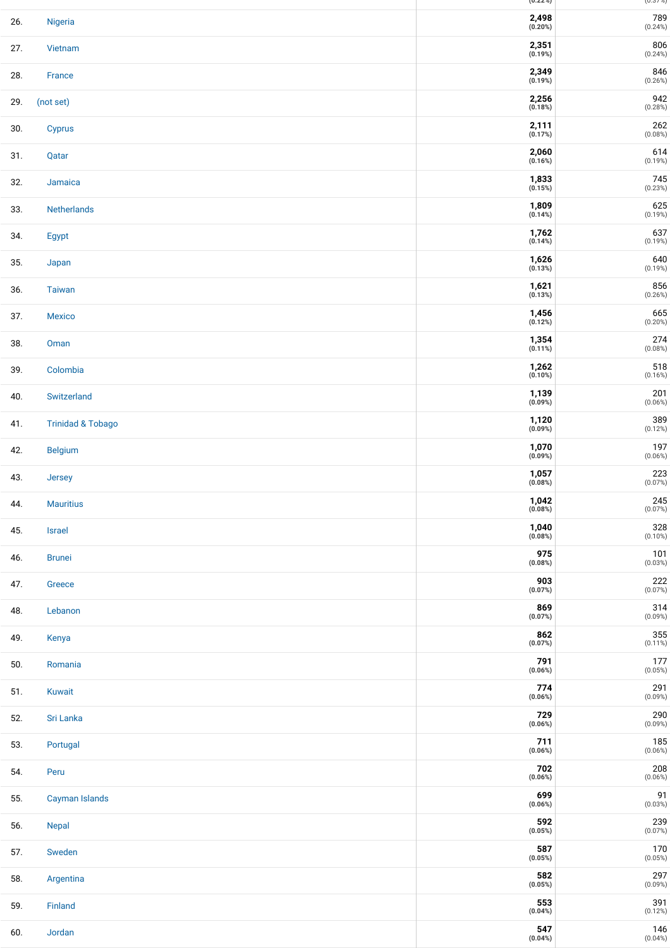|     |                              | (U.22/0)                                | (U.S / 10)            |
|-----|------------------------------|-----------------------------------------|-----------------------|
| 26. | Nigeria                      | 2,498<br>(0.20%)                        | 789<br>(0.24%)        |
| 27. | Vietnam                      | 2,351<br>(0.19%)                        | 806<br>(0.24%)        |
| 28. | France                       | 2,349<br>(0.19%)                        | 846<br>(0.26%)        |
| 29. | (not set)                    | 2,256<br>(0.18%)                        | 942<br>(0.28%)        |
| 30. | <b>Cyprus</b>                | 2,111<br>(0.17%)                        | 262<br>(0.08%)        |
| 31. | Qatar                        | 2,060<br>(0.16%)                        | 614<br>(0.19%)        |
| 32. | Jamaica                      | $1,833$<br>(0.15%)                      | 745<br>(0.23%)        |
| 33. | Netherlands                  | 1,809<br>(0.14%)                        | 625<br>(0.19%)        |
| 34. | Egypt                        | 1,762<br>(0.14%)                        | 637<br>(0.19%)        |
| 35. | Japan                        | 1,626<br>(0.13%)                        | 640<br>(0.19%)        |
| 36. | <b>Taiwan</b>                | 1,621<br>(0.13%)                        | 856<br>(0.26%)        |
| 37. | <b>Mexico</b>                | 1,456<br>(0.12%)                        | 665<br>$(0.20\%)$     |
| 38. | Oman                         | 1,354<br>(0.11%)                        | $274\,$<br>(0.08%)    |
| 39. | Colombia                     | 1,262<br>(0.10%)                        | $518$<br>(0.16%)      |
| 40. | Switzerland                  | 1,139<br>(0.09%)                        | 201<br>(0.06%)        |
| 41. | <b>Trinidad &amp; Tobago</b> | 1,120<br>(0.09%)                        | 389<br>(0.12%)        |
| 42. | <b>Belgium</b>               | 1,070<br>(0.09%)                        | 197<br>(0.06%)        |
| 43. | Jersey                       | 1,057<br>(0.08%)                        | 223<br>(0.07%)        |
| 44. | <b>Mauritius</b>             | 1,042<br>(0.08%)                        | 245<br>(0.07%)        |
| 45. | Israel                       | $\underset{\left(0.08\%\right)}{1,040}$ | $328$<br>(0.10%)      |
| 46. | <b>Brunei</b>                | 975<br>(0.08%)                          | 101<br>(0.03%)        |
| 47. | Greece                       | 903<br>(0.07%)                          | $222$<br>(0.07%)      |
| 48. | Lebanon                      | 869<br>(0.07%)                          | 314<br>(0.09%)        |
| 49. | Kenya                        | 862<br>(0.07%)                          | $355$<br>(0.11%)      |
| 50. | Romania                      | 791<br>(0.06%)                          | $177$<br>(0.05%)      |
| 51. | Kuwait                       | 774<br>(0.06%)                          | 291<br>(0.09%)        |
| 52. | Sri Lanka                    | 729<br>(0.06%)                          | $290$<br>(0.09%)      |
| 53. | Portugal                     | 711<br>(0.06%)                          | $185\atop(0.06\%)$    |
| 54. | Peru                         | 702<br>(0.06%)                          | $208$<br>(0.06%)      |
| 55. | Cayman Islands               | 699<br>(0.06%)                          | $91 \choose (0.03\%)$ |
| 56. | Nepal                        | 592<br>(0.05%)                          | $239$<br>(0.07%)      |
| 57. | Sweden                       | 587<br>(0.05%)                          | $170\atop(0.05\%)$    |
| 58. | Argentina                    | 582<br>(0.05%)                          | 297<br>$(0.09\%)$     |
| 59. | Finland                      | 553<br>(0.04%)                          | 391<br>(0.12%)        |
| 60. | Jordan                       | 547<br>(0.04%)                          | 146<br>$(0.04\%)$     |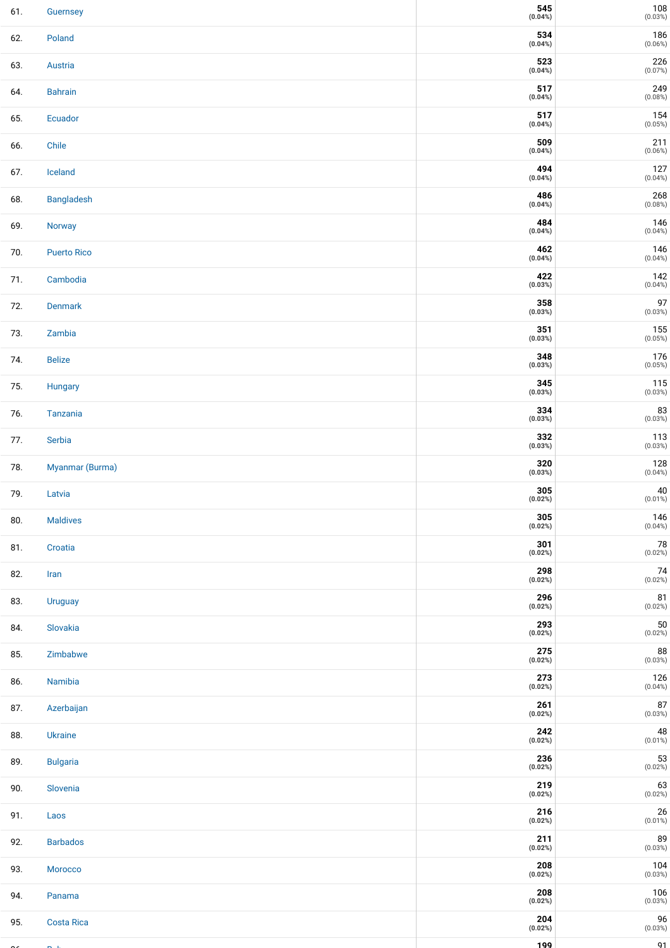| 61. | Guernsey           | 545<br>(0.04%) | $\frac{108}{(0.03\%)}$                                          |
|-----|--------------------|----------------|-----------------------------------------------------------------|
| 62. | Poland             | 534<br>(0.04%) | 186<br>(0.06%)                                                  |
| 63. | Austria            | 523<br>(0.04%) | $226$<br>(0.07%)                                                |
| 64. | <b>Bahrain</b>     | 517<br>(0.04%) | $249$<br>(0.08%)                                                |
| 65. | Ecuador            | 517<br>(0.04%) | $154 \newline \hspace*{.3em} (0.05\%)$                          |
| 66. | Chile              | 509<br>(0.04%) | 211<br>(0.06%)                                                  |
| 67. | Iceland            | 494<br>(0.04%) | $127 \scriptstyle(0.04\%)$                                      |
| 68. | Bangladesh         | 486<br>(0.04%) | $268$<br>(0.08%)                                                |
| 69. | Norway             | 484<br>(0.04%) | $146$<br>(0.04%)                                                |
| 70. | <b>Puerto Rico</b> | 462<br>(0.04%) | $146$<br>(0.04%)                                                |
| 71. | Cambodia           | 422<br>(0.03%) | $142 \newline \hspace*{.3em} (0.04\%)$                          |
| 72. | Denmark            | 358<br>(0.03%) | $97^{(0.03\%)}$                                                 |
| 73. | Zambia             | 351<br>(0.03%) | $155\ \newline \text{\tiny (0.05%)}$                            |
| 74. | <b>Belize</b>      | 348<br>(0.03%) | $176 \newline \hspace*{.3em} (0.05\%)$                          |
| 75. | Hungary            | 345<br>(0.03%) | $\begin{array}{c} \textbf{115} \\ \textbf{(0.03%)} \end{array}$ |
| 76. | Tanzania           | 334<br>(0.03%) | $83$<br>(0.03%)                                                 |
| 77. | Serbia             | 332<br>(0.03%) | $113$<br>(0.03%)                                                |
| 78. | Myanmar (Burma)    | 320<br>(0.03%) | 128<br>(0.04%)                                                  |
| 79. | Latvia             | 305<br>(0.02%) | $40\,$<br>$(0.01\%)$                                            |
| 80. | <b>Maldives</b>    | 305<br>(0.02%) | 146<br>(0.04%)                                                  |
| 81. | Croatia            | 301<br>(0.02%) | ${\bf 78}$<br>(0.02%)                                           |
| 82. | Iran               | 298<br>(0.02%) | $74\,$<br>(0.02%)                                               |
| 83. | <b>Uruguay</b>     | 296<br>(0.02%) | $\begin{array}{c} \textbf{81} \\ \textbf{(0.02%)} \end{array}$  |
| 84. | Slovakia           | 293<br>(0.02%) | $50$<br>(0.02%)                                                 |
| 85. | Zimbabwe           | 275<br>(0.02%) | $88$<br>(0.03%)                                                 |
| 86. | Namibia            | 273<br>(0.02%) | 126<br>(0.04%)                                                  |
| 87. | Azerbaijan         | 261<br>(0.02%) | $87\,$<br>(0.03%)                                               |
| 88. | Ukraine            | 242<br>(0.02%) | $48$<br>(0.01%)                                                 |
| 89. | <b>Bulgaria</b>    | 236<br>(0.02%) | $53$<br>(0.02%)                                                 |
| 90. | Slovenia           | 219<br>(0.02%) | $63 \atop (0.02\%)$                                             |
| 91. | Laos               | 216<br>(0.02%) | $\begin{array}{c} 26 \\ \text{\small (0.01%)} \end{array}$      |
| 92. | <b>Barbados</b>    | 211<br>(0.02%) | $89$<br>(0.03%)                                                 |
| 93. | Morocco            | 208<br>(0.02%) | $\begin{array}{c} 104 \\ \text{\tiny{(0.03\%)}} \end{array}$    |
| 94. | Panama             | 208<br>(0.02%) | $\begin{array}{c} 106 \\ (0.03\% ) \end{array}$                 |
| 95. | <b>Costa Rica</b>  | 204<br>(0.02%) | $96$<br>(0.03%)                                                 |
|     |                    | 199            | 91                                                              |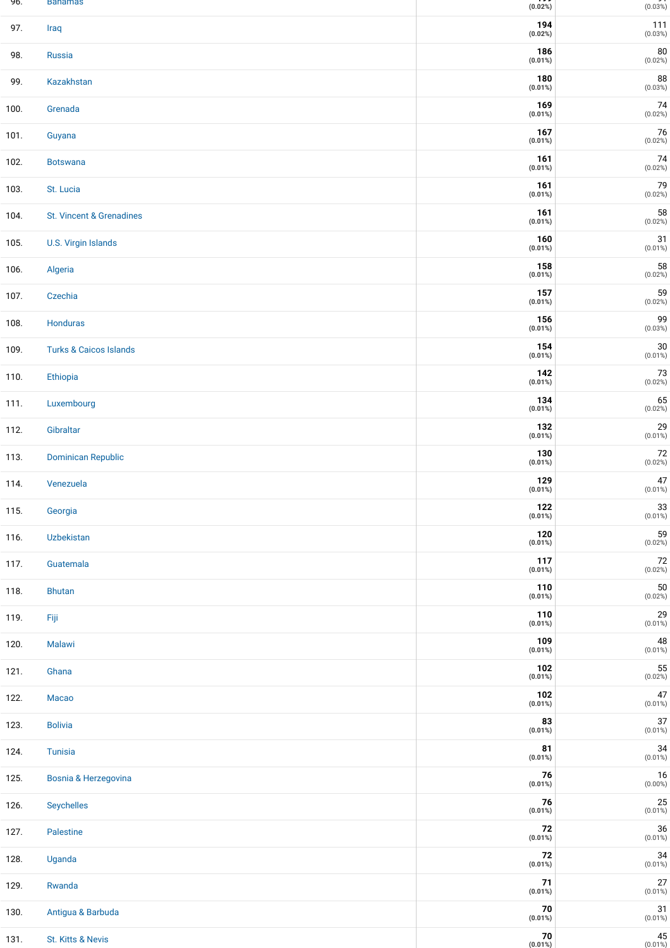| 96.  | Banamas                           | (0.02%)           | (0.03%)                |
|------|-----------------------------------|-------------------|------------------------|
| 97.  | Iraq                              | 194<br>(0.02%)    | 111<br>(0.03%)         |
| 98.  | Russia                            | 186<br>(0.01%)    | 80<br>(0.02%)          |
| 99.  | Kazakhstan                        | 180<br>$(0.01\%)$ | 88<br>(0.03%)          |
| 100. | Grenada                           | 169<br>(0.01%)    | 74<br>(0.02%)          |
| 101. | Guyana                            | 167<br>(0.01%)    | 76<br>(0.02%)          |
| 102. | <b>Botswana</b>                   | 161<br>(0.01%)    | 74<br>(0.02%)          |
| 103. | St. Lucia                         | 161<br>(0.01%)    | 79<br>(0.02%)          |
| 104. | St. Vincent & Grenadines          | 161<br>(0.01%)    | 58<br>(0.02%)          |
| 105. | U.S. Virgin Islands               | 160<br>(0.01%)    | 31<br>$(0.01\%)$       |
| 106. | Algeria                           | 158<br>(0.01%)    | 58<br>(0.02%)          |
| 107. | Czechia                           | 157<br>(0.01%)    | 59<br>(0.02%)          |
| 108. | Honduras                          | 156<br>(0.01%)    | 99<br>(0.03%)          |
| 109. | <b>Turks &amp; Caicos Islands</b> | 154<br>(0.01%)    | $30\,$<br>$(0.01\%)$   |
| 110. | Ethiopia                          | 142<br>(0.01%)    | 73<br>(0.02%)          |
| 111. | Luxembourg                        | 134<br>(0.01%)    | 65<br>(0.02%)          |
| 112. | Gibraltar                         | 132<br>(0.01%)    | 29<br>$(0.01\%)$       |
| 113. | <b>Dominican Republic</b>         | 130<br>(0.01%)    | 72<br>(0.02%)          |
| 114. | Venezuela                         | 129<br>$(0.01\%)$ | 47<br>$(0.01\%)$       |
| 115. | Georgia                           | 122<br>(0.01%)    | $33$<br>(0.01%)        |
| 116. | Uzbekistan                        | 120<br>$(0.01\%)$ | 59<br>(0.02%)          |
| 117. | Guatemala                         | 117<br>$(0.01\%)$ | 72<br>(0.02%)          |
| 118. | <b>Bhutan</b>                     | 110<br>$(0.01\%)$ | 50<br>(0.02%)          |
| 119. | Fiji                              | 110<br>(0.01%)    | $29$<br>(0.01%)        |
| 120. | Malawi                            | 109<br>(0.01%)    | $48$<br>(0.01%)        |
| 121. | Ghana                             | 102<br>(0.01%)    | 55<br>(0.02%)          |
| 122. | Macao                             | 102<br>(0.01%)    | 47<br>$(0.01\%)$       |
| 123. | <b>Bolivia</b>                    | 83<br>$(0.01\%)$  | 37<br>$(0.01\%)$       |
| 124. | <b>Tunisia</b>                    | 81<br>$(0.01\%)$  | 34<br>$(0.01\%)$       |
| 125. | Bosnia & Herzegovina              | 76<br>$(0.01\%)$  | $16\,$<br>$(0.00\%)$   |
| 126. | Seychelles                        | 76<br>$(0.01\%)$  | 25<br>$(0.01\%)$       |
| 127. | Palestine                         | 72<br>$(0.01\%)$  | $36$<br>(0.01%)        |
| 128. | Uganda                            | 72<br>$(0.01\%)$  | $34$<br>(0.01%)        |
| 129. | Rwanda                            | 71<br>$(0.01\%)$  | 27<br>$(0.01\%)$       |
| 130. | Antigua & Barbuda                 | 70<br>$(0.01\%)$  | 31<br>$(0.01\%)$       |
| 131. | St. Kitts & Nevis                 | 70<br>$(0.01\%)$  | $\bf 45$<br>$(0.01\%)$ |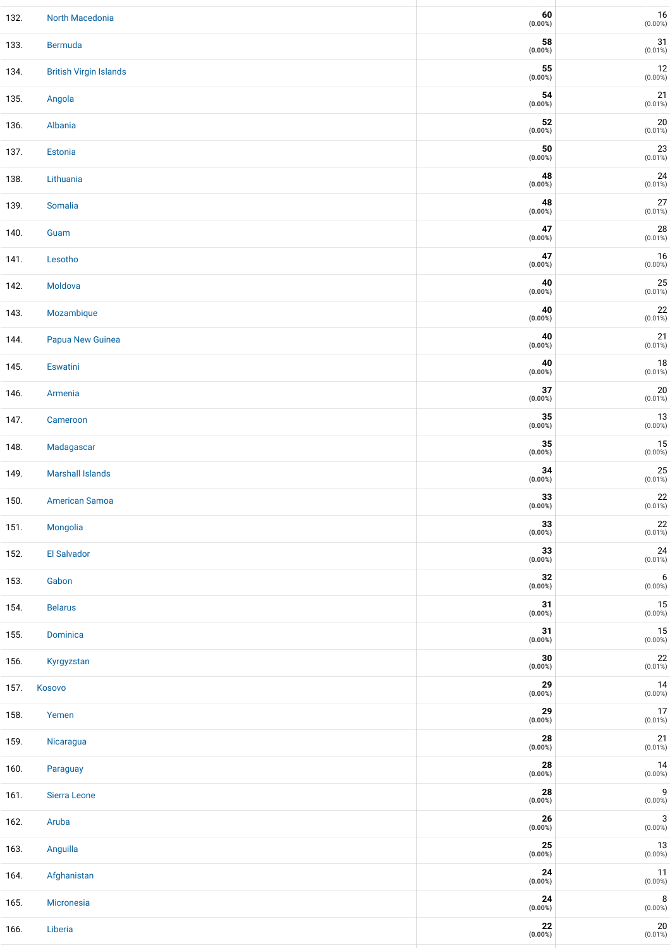| 132. | North Macedonia               | 60<br>$(0.00\%)$         | $16\,$<br>$(0.00\%)$                                                   |
|------|-------------------------------|--------------------------|------------------------------------------------------------------------|
| 133. | <b>Bermuda</b>                | 58<br>$(0.00\%)$         | 31<br>$(0.01\%)$                                                       |
| 134. | <b>British Virgin Islands</b> | 55<br>$(0.00\%)$         | $12\,$<br>$(0.00\%)$                                                   |
| 135. | Angola                        | 54<br>$(0.00\%)$         | $21$<br>(0.01%)                                                        |
| 136. | Albania                       | 52<br>$(0.00\%)$         | $\begin{array}{c} 20 \\ \text{\small (0.01%)} \end{array}$             |
| 137. | Estonia                       | ${\bf 50}$<br>$(0.00\%)$ | $\begin{array}{c} \textbf{23} \\ \textbf{(0.01%)} \end{array}$         |
| 138. | Lithuania                     | 48<br>$(0.00\%)$         | $24 \atop (0.01\%)$                                                    |
| 139. | Somalia                       | 48<br>$(0.00\%)$         | 27<br>$(0.01\%)$                                                       |
| 140. | Guam                          | 47<br>$(0.00\%)$         | $28$<br>(0.01%)                                                        |
| 141. | Lesotho                       | 47<br>$(0.00\%)$         | $\begin{array}{c} {\mathbf{16}}\\ {\scriptstyle (0.00\%)} \end{array}$ |
| 142. | Moldova                       | 40<br>$(0.00\%)$         | $25$<br>(0.01%)                                                        |
| 143. | Mozambique                    | 40<br>$(0.00\%)$         | $\begin{array}{c} \textbf{22} \\ \textbf{(0.01%)} \end{array}$         |
| 144. | Papua New Guinea              | 40<br>$(0.00\%)$         | $21$<br>(0.01%)                                                        |
| 145. | Eswatini                      | 40<br>$(0.00\%)$         | $\begin{array}{c} \textbf{18} \\ \textbf{(0.01%)} \end{array}$         |
| 146. | Armenia                       | $37\,$<br>$(0.00\%)$     | $\begin{array}{c} 20 \\ \text{\small (0.01%)} \end{array}$             |
| 147. | Cameroon                      | 35<br>$(0.00\%)$         | $\begin{array}{c} {\bf 13}\\ {\bf (0.00\%)} \end{array}$               |
| 148. | Madagascar                    | 35<br>$(0.00\%)$         | $15$<br>$(0.00\%)$                                                     |
| 149. | <b>Marshall Islands</b>       | 34<br>$(0.00\%)$         | $25 \atop (0.01\%)$                                                    |
| 150. | <b>American Samoa</b>         | 33<br>$(0.00\%)$         | $\begin{array}{c} \textbf{22} \\ \textbf{(0.01%)} \end{array}$         |
| 151. | Mongolia                      | 33<br>$(0.00\%)$         | $22$<br>(0.01%)                                                        |
| 152. | El Salvador                   | 33<br>$(0.00\%)$         | $24 \atop (0.01\%)$                                                    |
| 153. | Gabon                         | 32<br>$(0.00\%)$         | $6$ (0.00%)                                                            |
| 154. | <b>Belarus</b>                | 31<br>$(0.00\%)$         | 15<br>$(0.00\%)$                                                       |
| 155. | Dominica                      | 31<br>$(0.00\%)$         | $15\,$<br>$(0.00\%)$                                                   |
| 156. | Kyrgyzstan                    | $\bf{30}$<br>$(0.00\%)$  | $22\,$<br>$(0.01\%)$                                                   |
| 157. | Kosovo                        | 29<br>$(0.00\%)$         | $14$<br>$(0.00\%)$                                                     |
| 158. | Yemen                         | 29<br>$(0.00\%)$         | 17<br>$(0.01\%)$                                                       |
| 159. | Nicaragua                     | 28<br>$(0.00\%)$         | $\begin{array}{c} 21 \\ \text{(0.01%)} \end{array}$                    |
| 160. | Paraguay                      | 28<br>$(0.00\%)$         | $14$<br>$(0.00\%)$                                                     |
| 161. | Sierra Leone                  | 28<br>$(0.00\%)$         | 9<br>$(0.00\%)$                                                        |
| 162. | Aruba                         | ${\bf 26}$<br>$(0.00\%)$ | $\mathbf{3}$<br>$(0.00\%)$                                             |
| 163. | Anguilla                      | 25<br>$(0.00\%)$         | $13\,$<br>$(0.00\%)$                                                   |
| 164. | Afghanistan                   | 24<br>$(0.00\%)$         | 11<br>$(0.00\%)$                                                       |
| 165. | Micronesia                    | 24<br>$(0.00\%)$         | 8<br>$(0.00\%)$                                                        |
| 166. | Liberia                       | 22<br>$(0.00\%)$         | $\begin{array}{c} 20 \\ \text{\small (0.01%)} \end{array}$             |

**( )** ( )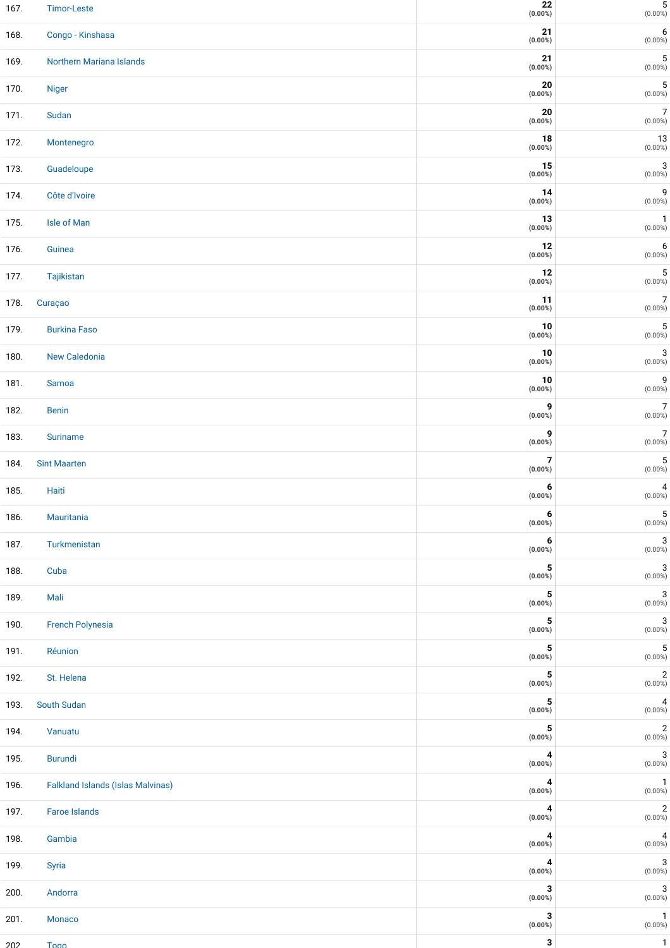| 167. | <b>Timor-Leste</b>                       | 22<br>$(0.00\%)$ | $5 \hspace{1mm}$ (0.00%)                                    |
|------|------------------------------------------|------------------|-------------------------------------------------------------|
| 168. | Congo - Kinshasa                         | 21<br>$(0.00\%)$ | 6<br>$(0.00\%)$                                             |
| 169. | Northern Mariana Islands                 | 21<br>$(0.00\%)$ | $\mathbf 5$<br>$(0.00\%)$                                   |
| 170. | <b>Niger</b>                             | 20<br>$(0.00\%)$ | $\mathbf 5$<br>$(0.00\%)$                                   |
| 171. | Sudan                                    | 20<br>$(0.00\%)$ | 7<br>$(0.00\%)$                                             |
| 172. | Montenegro                               | 18<br>$(0.00\%)$ | 13<br>$(0.00\%)$                                            |
| 173. | Guadeloupe                               | 15<br>$(0.00\%)$ | 3<br>$(0.00\%)$                                             |
| 174. | Côte d'Ivoire                            | 14<br>$(0.00\%)$ | 9<br>$(0.00\%)$                                             |
| 175. | Isle of Man                              | 13<br>$(0.00\%)$ | 1<br>$(0.00\%)$                                             |
| 176. | Guinea                                   | 12<br>$(0.00\%)$ | 6<br>$(0.00\%)$                                             |
| 177. | Tajikistan                               | 12<br>$(0.00\%)$ | 5<br>$(0.00\%)$                                             |
| 178. | Curaçao                                  | 11<br>$(0.00\%)$ | $\overline{7}$<br>$(0.00\%)$                                |
| 179. | <b>Burkina Faso</b>                      | 10<br>$(0.00\%)$ | 5<br>$(0.00\%)$                                             |
| 180. | New Caledonia                            | 10<br>$(0.00\%)$ | 3<br>$(0.00\%)$                                             |
| 181. | Samoa                                    | 10<br>$(0.00\%)$ | 9<br>$(0.00\%)$                                             |
| 182. | <b>Benin</b>                             | 9<br>$(0.00\%)$  | 7<br>$(0.00\%)$                                             |
| 183. | <b>Suriname</b>                          | 9<br>$(0.00\%)$  | $\overline{7}$<br>$(0.00\%)$                                |
| 184. | <b>Sint Maarten</b>                      | 7<br>$(0.00\%)$  | $\mathbf 5$<br>$(0.00\%)$                                   |
| 185. | Haiti                                    | 6<br>$(0.00\%)$  | 4<br>$(0.00\%)$                                             |
| 186. | Mauritania                               | 6<br>$(0.00\%)$  | $\overline{5}$<br>$(0.00\%)$                                |
| 187. | Turkmenistan                             | 6<br>$(0.00\%)$  | 3<br>$(0.00\%)$                                             |
| 188. | Cuba                                     | 5<br>$(0.00\%)$  | $\sqrt{3}$<br>$(0.00\%)$                                    |
| 189. | Mali                                     | 5<br>$(0.00\%)$  | $\sqrt{3}$<br>$(0.00\%)$                                    |
| 190. | French Polynesia                         | 5<br>$(0.00\%)$  | 3<br>$(0.00\%)$                                             |
| 191. | Réunion                                  | 5<br>$(0.00\%)$  | $\mathbf 5$<br>$(0.00\%)$                                   |
| 192. | St. Helena                               | 5<br>$(0.00\%)$  | $\begin{array}{c} 2 \\ \text{(0.00%)} \end{array}$          |
| 193. | South Sudan                              | 5<br>$(0.00\%)$  | $\overline{\mathbf{4}}$<br>$(0.00\%)$                       |
| 194. | Vanuatu                                  | 5<br>$(0.00\%)$  | $\overline{\mathbf{c}}$<br>$(0.00\%)$                       |
| 195. | <b>Burundi</b>                           | 4<br>$(0.00\%)$  | 3<br>$(0.00\%)$                                             |
| 196. | <b>Falkland Islands (Islas Malvinas)</b> | 4<br>$(0.00\%)$  | $\mathbf{1}$<br>$(0.00\%)$                                  |
| 197. | <b>Faroe Islands</b>                     | 4<br>$(0.00\%)$  | $\begin{array}{c} 2 \\ \text{(0.00%)} \end{array}$          |
| 198. | Gambia                                   | 4<br>$(0.00\%)$  | $\begin{array}{c} \mathbf{4} \\ \text{(0.00%)} \end{array}$ |
| 199. | Syria                                    | 4<br>$(0.00\%)$  | 3<br>$(0.00\%)$                                             |
| 200. | Andorra                                  | 3<br>$(0.00\%)$  | 3<br>$(0.00\%)$                                             |
| 201. | Monaco                                   | 3<br>$(0.00\%)$  | $\mathbf{1}$<br>$(0.00\%)$                                  |
| 202  | <b>Togo</b>                              | 3                | $\mathbf{1}$                                                |